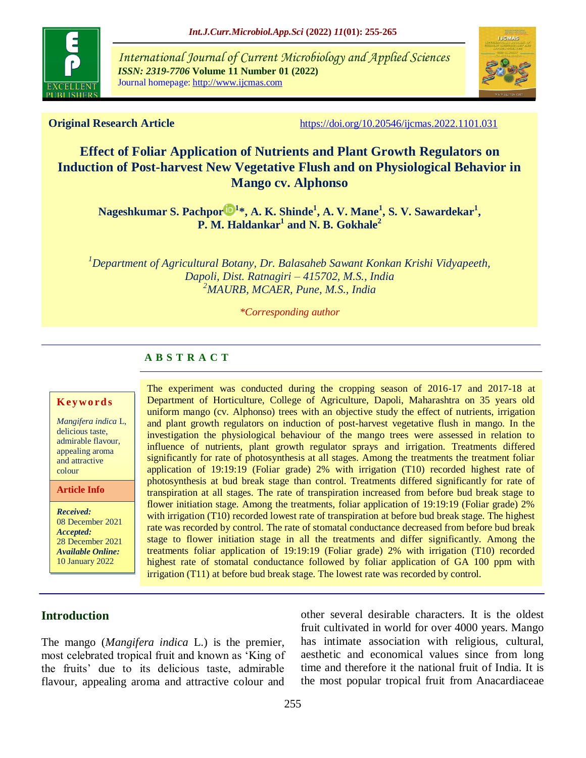

*International Journal of Current Microbiology and Applied Sciences ISSN: 2319-7706* **Volume 11 Number 01 (2022)**  Journal homepage: http://www.ijcmas.com



**Original Research Article** <https://doi.org/10.20546/ijcmas.2022.1101.031>

# **Effect of Foliar Application of Nutrients and Plant Growth Regulators on Induction of Post-harvest New Vegetative Flush and on Physiological Behavior in Mango cv. Alphonso**

**[Nageshkumar S. Pachpor](https://orcid.org/0000-0003-2404-668X)**  $\mathbb{D}^{1*}$ , **A. K. Shinde<sup>1</sup>, A. V. Mane<sup>1</sup>, S. V. Sawardekar<sup>1</sup>, P. M. Haldankar<sup>1</sup> and N. B. Gokhale<sup>2</sup>**

*<sup>1</sup>Department of Agricultural Botany, Dr. Balasaheb Sawant Konkan Krishi Vidyapeeth, Dapoli, Dist. Ratnagiri – 415702, M.S., India <sup>2</sup>MAURB, MCAER, Pune, M.S., India*

*\*Corresponding author*

## **A B S T R A C T**

#### **K ey w o rd s**

*Mangifera indica* L, delicious taste, admirable flavour, appealing aroma and attractive colour

**Article Info**

*Received:*  08 December 2021 *Accepted:*  28 December 2021 *Available Online:* 10 January 2022

The experiment was conducted during the cropping season of 2016-17 and 2017-18 at Department of Horticulture, College of Agriculture, Dapoli, Maharashtra on 35 years old uniform mango (cv. Alphonso) trees with an objective study the effect of nutrients, irrigation and plant growth regulators on induction of post-harvest vegetative flush in mango. In the investigation the physiological behaviour of the mango trees were assessed in relation to influence of nutrients, plant growth regulator sprays and irrigation. Treatments differed significantly for rate of photosynthesis at all stages. Among the treatments the treatment foliar application of 19:19:19 (Foliar grade) 2% with irrigation (T10) recorded highest rate of photosynthesis at bud break stage than control. Treatments differed significantly for rate of transpiration at all stages. The rate of transpiration increased from before bud break stage to flower initiation stage. Among the treatments, foliar application of 19:19:19 (Foliar grade) 2% with irrigation (T10) recorded lowest rate of transpiration at before bud break stage. The highest rate was recorded by control. The rate of stomatal conductance decreased from before bud break stage to flower initiation stage in all the treatments and differ significantly. Among the treatments foliar application of 19:19:19 (Foliar grade) 2% with irrigation (T10) recorded highest rate of stomatal conductance followed by foliar application of GA 100 ppm with irrigation (T11) at before bud break stage. The lowest rate was recorded by control.

## **Introduction**

The mango (*Mangifera indica* L.) is the premier, most celebrated tropical fruit and known as 'King of the fruits' due to its delicious taste, admirable flavour, appealing aroma and attractive colour and

other several desirable characters. It is the oldest fruit cultivated in world for over 4000 years. Mango has intimate association with religious, cultural, aesthetic and economical values since from long time and therefore it the national fruit of India. It is the most popular tropical fruit from Anacardiaceae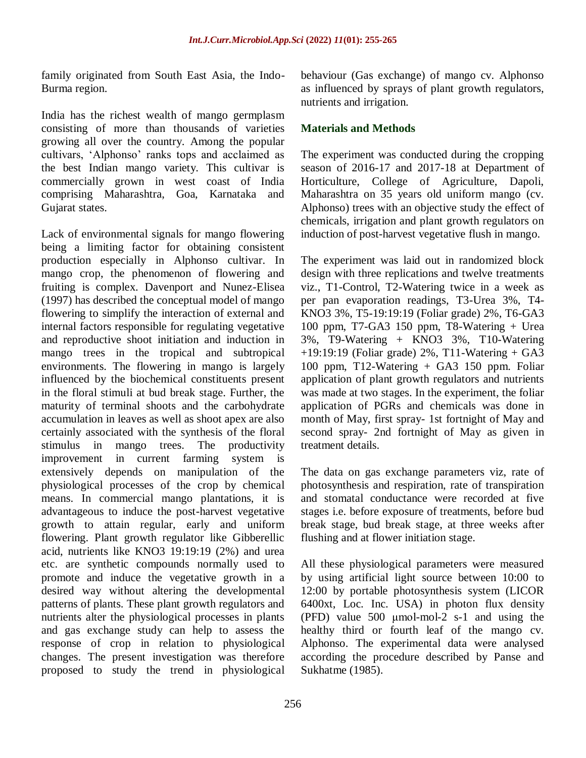family originated from South East Asia, the Indo-Burma region.

India has the richest wealth of mango germplasm consisting of more than thousands of varieties growing all over the country. Among the popular cultivars, 'Alphonso' ranks tops and acclaimed as the best Indian mango variety. This cultivar is commercially grown in west coast of India comprising Maharashtra, Goa, Karnataka and Gujarat states.

Lack of environmental signals for mango flowering being a limiting factor for obtaining consistent production especially in Alphonso cultivar. In mango crop, the phenomenon of flowering and fruiting is complex. Davenport and Nunez-Elisea (1997) has described the conceptual model of mango flowering to simplify the interaction of external and internal factors responsible for regulating vegetative and reproductive shoot initiation and induction in mango trees in the tropical and subtropical environments. The flowering in mango is largely influenced by the biochemical constituents present in the floral stimuli at bud break stage. Further, the maturity of terminal shoots and the carbohydrate accumulation in leaves as well as shoot apex are also certainly associated with the synthesis of the floral stimulus in mango trees. The productivity improvement in current farming system is extensively depends on manipulation of the physiological processes of the crop by chemical means. In commercial mango plantations, it is advantageous to induce the post-harvest vegetative growth to attain regular, early and uniform flowering. Plant growth regulator like Gibberellic acid, nutrients like KNO3 19:19:19 (2%) and urea etc. are synthetic compounds normally used to promote and induce the vegetative growth in a desired way without altering the developmental patterns of plants. These plant growth regulators and nutrients alter the physiological processes in plants and gas exchange study can help to assess the response of crop in relation to physiological changes. The present investigation was therefore proposed to study the trend in physiological

behaviour (Gas exchange) of mango cv. Alphonso as influenced by sprays of plant growth regulators, nutrients and irrigation.

### **Materials and Methods**

The experiment was conducted during the cropping season of 2016-17 and 2017-18 at Department of Horticulture, College of Agriculture, Dapoli, Maharashtra on 35 years old uniform mango (cv. Alphonso) trees with an objective study the effect of chemicals, irrigation and plant growth regulators on induction of post-harvest vegetative flush in mango.

The experiment was laid out in randomized block design with three replications and twelve treatments viz., T1-Control, T2-Watering twice in a week as per pan evaporation readings, T3-Urea 3%, T4- KNO3 3%, T5-19:19:19 (Foliar grade) 2%, T6-GA3 100 ppm, T7-GA3 150 ppm, T8-Watering + Urea 3%, T9-Watering + KNO3 3%, T10-Watering +19:19:19 (Foliar grade) 2%, T11-Watering + GA3 100 ppm, T12-Watering + GA3 150 ppm. Foliar application of plant growth regulators and nutrients was made at two stages. In the experiment, the foliar application of PGRs and chemicals was done in month of May, first spray- 1st fortnight of May and second spray- 2nd fortnight of May as given in treatment details.

The data on gas exchange parameters viz, rate of photosynthesis and respiration, rate of transpiration and stomatal conductance were recorded at five stages i.e. before exposure of treatments, before bud break stage, bud break stage, at three weeks after flushing and at flower initiation stage.

All these physiological parameters were measured by using artificial light source between 10:00 to 12:00 by portable photosynthesis system (LICOR 6400xt, Loc. Inc. USA) in photon flux density (PFD) value 500 μmol-mol-2 s-1 and using the healthy third or fourth leaf of the mango cv. Alphonso. The experimental data were analysed according the procedure described by Panse and Sukhatme (1985).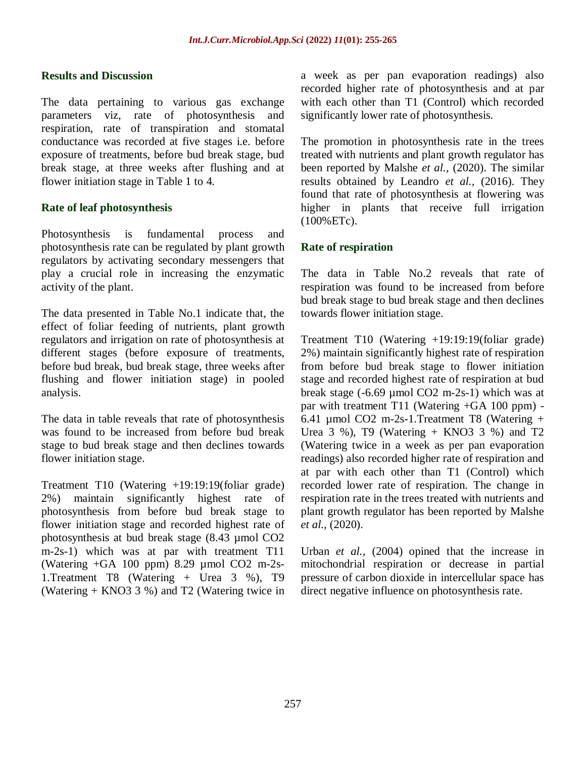#### **Results and Discussion**

The data pertaining to various gas exchange parameters viz, rate of photosynthesis and respiration, rate of transpiration and stomatal conductance was recorded at five stages i.e. before exposure of treatments, before bud break stage, bud break stage, at three weeks after flushing and at flower initiation stage in Table 1 to 4.

#### **Rate of leaf photosynthesis**

Photosynthesis is fundamental process and photosynthesis rate can be regulated by plant growth regulators by activating secondary messengers that play a crucial role in increasing the enzymatic activity of the plant.

The data presented in Table No.1 indicate that, the effect of foliar feeding of nutrients, plant growth regulators and irrigation on rate of photosynthesis at different stages (before exposure of treatments, before bud break, bud break stage, three weeks after flushing and flower initiation stage) in pooled analysis.

The data in table reveals that rate of photosynthesis was found to be increased from before bud break stage to bud break stage and then declines towards flower initiation stage.

Treatment T10 (Watering +19:19:19(foliar grade) 2%) maintain significantly highest rate of photosynthesis from before bud break stage to flower initiation stage and recorded highest rate of photosynthesis at bud break stage (8.43 µmol CO2 m-2s-1) which was at par with treatment T11 (Watering +GA 100 ppm) 8.29 µmol CO2 m-2s-1.Treatment T8 (Watering + Urea 3 %), T9 (Watering + KNO3 3 %) and T2 (Watering twice in

a week as per pan evaporation readings) also recorded higher rate of photosynthesis and at par with each other than T1 (Control) which recorded significantly lower rate of photosynthesis.

The promotion in photosynthesis rate in the trees treated with nutrients and plant growth regulator has been reported by Malshe *et al.,* (2020). The similar results obtained by Leandro *et al.,* (2016). They found that rate of photosynthesis at flowering was higher in plants that receive full irrigation (100%ETc).

#### **Rate of respiration**

The data in Table No.2 reveals that rate of respiration was found to be increased from before bud break stage to bud break stage and then declines towards flower initiation stage.

Treatment T10 (Watering +19:19:19(foliar grade) 2%) maintain significantly highest rate of respiration from before bud break stage to flower initiation stage and recorded highest rate of respiration at bud break stage (-6.69 µmol CO2 m-2s-1) which was at par with treatment T11 (Watering +GA 100 ppm) - 6.41 µmol CO2 m-2s-1.Treatment T8 (Watering + Urea  $3\%$ ), T9 (Watering + KNO3  $3\%$ ) and T2 (Watering twice in a week as per pan evaporation readings) also recorded higher rate of respiration and at par with each other than T1 (Control) which recorded lower rate of respiration. The change in respiration rate in the trees treated with nutrients and plant growth regulator has been reported by Malshe *et al.,* (2020).

Urban *et al.,* (2004) opined that the increase in mitochondrial respiration or decrease in partial pressure of carbon dioxide in intercellular space has direct negative influence on photosynthesis rate.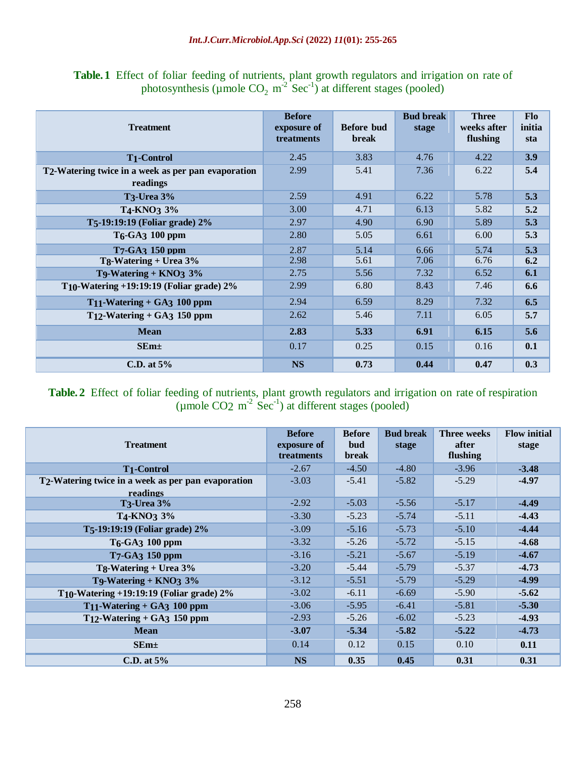| <b>Table.1</b> Effect of foliar feeding of nutrients, plant growth regulators and irrigation on rate of |
|---------------------------------------------------------------------------------------------------------|
| photosynthesis (µmole $CO_2$ m <sup>-2</sup> Sec <sup>-1</sup> ) at different stages (pooled)           |

| <b>Treatment</b>                                                            | <b>Before</b><br>exposure of<br>treatments | Before bud<br><b>break</b> | <b>Bud break</b><br>stage | <b>Three</b><br>weeks after<br>flushing | <b>Flo</b><br>initia<br>sta |
|-----------------------------------------------------------------------------|--------------------------------------------|----------------------------|---------------------------|-----------------------------------------|-----------------------------|
| <b>T1-Control</b>                                                           | 2.45                                       | 3.83                       | 4.76                      | 4.22                                    | 3.9                         |
| T <sub>2</sub> -Watering twice in a week as per pan evaporation<br>readings | 2.99                                       | 5.41                       | 7.36                      | 6.22                                    | 5.4                         |
| <b>T3-Urea 3%</b>                                                           | 2.59                                       | 4.91                       | 6.22                      | 5.78                                    | 5.3                         |
| T <sub>4</sub> -KNO <sub>3</sub> 3%                                         | 3.00                                       | 4.71                       | 6.13                      | 5.82                                    | 5.2                         |
| T5-19:19:19 (Foliar grade) 2%                                               | 2.97                                       | 4.90                       | 6.90                      | 5.89                                    | 5.3                         |
| T <sub>6</sub> -GA <sub>3</sub> 100 ppm                                     | 2.80                                       | 5.05                       | 6.61                      | 6.00                                    | 5.3                         |
| T7-GA3 150 ppm                                                              | 2.87                                       | 5.14                       | 6.66                      | 5.74                                    | 5.3                         |
| Tg-Watering + Urea 3%                                                       | 2.98                                       | 5.61                       | 7.06                      | 6.76                                    | 6.2                         |
| T9-Watering + $KNO_3$ 3%                                                    | 2.75                                       | 5.56                       | 7.32                      | 6.52                                    | 6.1                         |
| T <sub>10</sub> -Watering $+19:19:19$ (Foliar grade) $2\%$                  | 2.99                                       | 6.80                       | 8.43                      | 7.46                                    | 6.6                         |
| $T_{11}$ -Watering + GA3 100 ppm                                            | 2.94                                       | 6.59                       | 8.29                      | 7.32                                    | 6.5                         |
| $T_{12}$ -Watering + GA3 150 ppm                                            | 2.62                                       | 5.46                       | 7.11                      | 6.05                                    | 5.7                         |
| <b>Mean</b>                                                                 | 2.83                                       | 5.33                       | 6.91                      | 6.15                                    | 5.6                         |
| $SEm+$                                                                      | 0.17                                       | 0.25                       | 0.15                      | 0.16                                    | 0.1                         |
| C.D. at $5%$                                                                | <b>NS</b>                                  | 0.73                       | 0.44                      | 0.47                                    | 0.3                         |

#### **Table. 2** Effect of foliar feeding of nutrients, plant growth regulators and irrigation on rate of respiration (µmole  $CO<sub>2</sub>$  m<sup>-2</sup> Sec<sup>-1</sup>) at different stages (pooled)

| <b>Treatment</b>                                                | <b>Before</b><br>exposure of<br>treatments | <b>Before</b><br>bud<br><b>break</b> | <b>Bud break</b><br>stage | <b>Three weeks</b><br>after<br>flushing | <b>Flow initial</b><br>stage |
|-----------------------------------------------------------------|--------------------------------------------|--------------------------------------|---------------------------|-----------------------------------------|------------------------------|
| <b>T1-Control</b>                                               | $-2.67$                                    | $-4.50$                              | $-4.80$                   | $-3.96$                                 | $-3.48$                      |
| T <sub>2</sub> -Watering twice in a week as per pan evaporation | $-3.03$                                    | $-5.41$                              | $-5.82$                   | $-5.29$                                 | $-4.97$                      |
| readings                                                        |                                            |                                      |                           |                                         |                              |
| <b>T3-Urea 3%</b>                                               | $-2.92$                                    | $-5.03$                              | $-5.56$                   | $-5.17$                                 | $-4.49$                      |
| T4-KNO3 3%                                                      | $-3.30$                                    | $-5.23$                              | $-5.74$                   | $-5.11$                                 | $-4.43$                      |
| T5-19:19:19 (Foliar grade) 2%                                   | $-3.09$                                    | $-5.16$                              | $-5.73$                   | $-5.10$                                 | $-4.44$                      |
| T <sub>6</sub> -GA <sub>3</sub> 100 ppm                         | $-3.32$                                    | $-5.26$                              | $-5.72$                   | $-5.15$                                 | $-4.68$                      |
| T7-GA3 150 ppm                                                  | $-3.16$                                    | $-5.21$                              | $-5.67$                   | $-5.19$                                 | $-4.67$                      |
| Tg-Watering + Urea $3\%$                                        | $-3.20$                                    | $-5.44$                              | $-5.79$                   | $-5.37$                                 | $-4.73$                      |
| T9-Watering + $KNO3$ 3%                                         | $-3.12$                                    | $-5.51$                              | $-5.79$                   | $-5.29$                                 | $-4.99$                      |
| T <sub>10</sub> -Watering $+19:19:19$ (Foliar grade) $2\%$      | $-3.02$                                    | $-6.11$                              | $-6.69$                   | $-5.90$                                 | $-5.62$                      |
| $T_{11}$ -Watering + GA3 100 ppm                                | $-3.06$                                    | $-5.95$                              | $-6.41$                   | $-5.81$                                 | $-5.30$                      |
| $T12$ -Watering + GA3 150 ppm                                   | $-2.93$                                    | $-5.26$                              | $-6.02$                   | $-5.23$                                 | $-4.93$                      |
| <b>Mean</b>                                                     | $-3.07$                                    | $-5.34$                              | $-5.82$                   | $-5.22$                                 | $-4.73$                      |
| $SEm+$                                                          | 0.14                                       | 0.12                                 | 0.15                      | 0.10                                    | 0.11                         |
| C.D. at $5%$                                                    | <b>NS</b>                                  | 0.35                                 | 0.45                      | 0.31                                    | 0.31                         |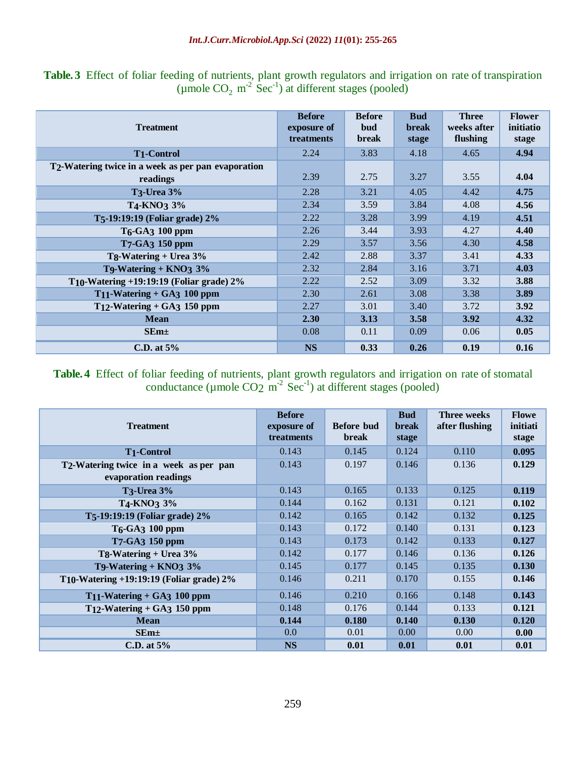|  |  | Table. 3 Effect of foliar feeding of nutrients, plant growth regulators and irrigation on rate of transpiration |  |  |  |  |  |
|--|--|-----------------------------------------------------------------------------------------------------------------|--|--|--|--|--|
|  |  | (umole $CO$ , $m^2$ Sec <sup>-1</sup> ) at different stages (pooled)                                            |  |  |  |  |  |

| <b>Treatment</b>                                                            | <b>Before</b><br>exposure of<br>treatments | <b>Before</b><br>bud<br><b>break</b> | <b>Bud</b><br>break<br>stage | <b>Three</b><br>weeks after<br>flushing | <b>Flower</b><br>initiatio<br>stage |
|-----------------------------------------------------------------------------|--------------------------------------------|--------------------------------------|------------------------------|-----------------------------------------|-------------------------------------|
| <b>T1-Control</b>                                                           | 2.24                                       | 3.83                                 | 4.18                         | 4.65                                    | 4.94                                |
| T <sub>2</sub> -Watering twice in a week as per pan evaporation<br>readings | 2.39                                       | 2.75                                 | 3.27                         | 3.55                                    | 4.04                                |
| <b>T3-Urea 3%</b>                                                           | 2.28                                       | 3.21                                 | 4.05                         | 4.42                                    | 4.75                                |
| T <sub>4</sub> -KNO <sub>3</sub> 3%                                         | 2.34                                       | 3.59                                 | 3.84                         | 4.08                                    | 4.56                                |
| T5-19:19:19 (Foliar grade) 2%                                               | 2.22                                       | 3.28                                 | 3.99                         | 4.19                                    | 4.51                                |
| T <sub>6</sub> -GA <sub>3</sub> 100 ppm                                     | 2.26                                       | 3.44                                 | 3.93                         | 4.27                                    | 4.40                                |
| T7-GA3 150 ppm                                                              | 2.29                                       | 3.57                                 | 3.56                         | 4.30                                    | 4.58                                |
| Tg-Watering + Urea $3\%$                                                    | 2.42                                       | 2.88                                 | 3.37                         | 3.41                                    | 4.33                                |
| T9-Watering + $KNO_3$ 3%                                                    | 2.32                                       | 2.84                                 | 3.16                         | 3.71                                    | 4.03                                |
| T <sub>10</sub> -Watering $+19:19:19$ (Foliar grade) $2\%$                  | 2.22                                       | 2.52                                 | 3.09                         | 3.32                                    | 3.88                                |
| $T_{11}$ -Watering + GA3 100 ppm                                            | 2.30                                       | 2.61                                 | 3.08                         | 3.38                                    | 3.89                                |
| $T_{12}$ -Watering + GA3 150 ppm                                            | 2.27                                       | 3.01                                 | 3.40                         | 3.72                                    | 3.92                                |
| <b>Mean</b>                                                                 | 2.30                                       | 3.13                                 | 3.58                         | 3.92                                    | 4.32                                |
| SEm <sub>±</sub>                                                            | 0.08                                       | 0.11                                 | 0.09                         | 0.06                                    | 0.05                                |
| C.D. at $5%$                                                                | <b>NS</b>                                  | 0.33                                 | 0.26                         | 0.19                                    | 0.16                                |

### **Table. 4** Effect of foliar feeding of nutrients, plant growth regulators and irrigation on rate of stomatal conductance ( $\mu$ mole CO<sub>2</sub> m<sup>-2</sup> Sec<sup>-1</sup>) at different stages (pooled)

| <b>Treatment</b>                                                            | <b>Before</b><br>exposure of<br>treatments | <b>Before bud</b><br><b>break</b> | <b>Bud</b><br><b>break</b><br>stage | <b>Three weeks</b><br>after flushing | <b>Flowe</b><br>initiati<br>stage |
|-----------------------------------------------------------------------------|--------------------------------------------|-----------------------------------|-------------------------------------|--------------------------------------|-----------------------------------|
| <b>T1-Control</b>                                                           | 0.143                                      | 0.145                             | 0.124                               | 0.110                                | 0.095                             |
| T <sub>2</sub> -Watering twice in a week as per pan<br>evaporation readings | 0.143                                      | 0.197                             | 0.146                               | 0.136                                | 0.129                             |
| <b>T3-Urea 3%</b>                                                           | 0.143                                      | 0.165                             | 0.133                               | 0.125                                | 0.119                             |
| T4-KNO3 3%                                                                  | 0.144                                      | 0.162                             | 0.131                               | 0.121                                | 0.102                             |
| T5-19:19:19 (Foliar grade) 2%                                               | 0.142                                      | 0.165                             | 0.142                               | 0.132                                | 0.125                             |
| T <sub>6</sub> -GA <sub>3</sub> 100 ppm                                     | 0.143                                      | 0.172                             | 0.140                               | 0.131                                | 0.123                             |
| T7-GA3 150 ppm                                                              | 0.143                                      | 0.173                             | 0.142                               | 0.133                                | 0.127                             |
| $Tg-Watering + Urea 3%$                                                     | 0.142                                      | 0.177                             | 0.146                               | 0.136                                | 0.126                             |
| T9-Watering $+$ KNO3 $3\%$                                                  | 0.145                                      | 0.177                             | 0.145                               | 0.135                                | 0.130                             |
| T <sub>10</sub> -Watering $+19:19:19$ (Foliar grade) $2\%$                  | 0.146                                      | 0.211                             | 0.170                               | 0.155                                | 0.146                             |
| $T_{11}$ -Watering + GA3 100 ppm                                            | 0.146                                      | 0.210                             | 0.166                               | 0.148                                | 0.143                             |
| $T_{12}$ -Watering + GA3 150 ppm                                            | 0.148                                      | 0.176                             | 0.144                               | 0.133                                | 0.121                             |
| <b>Mean</b>                                                                 | 0.144                                      | 0.180                             | 0.140                               | 0.130                                | 0.120                             |
| $SEm\pm$                                                                    | 0.0                                        | 0.01                              | 0.00                                | 0.00                                 | 0.00                              |
| C.D. at $5\%$                                                               | <b>NS</b>                                  | 0.01                              | 0.01                                | 0.01                                 | 0.01                              |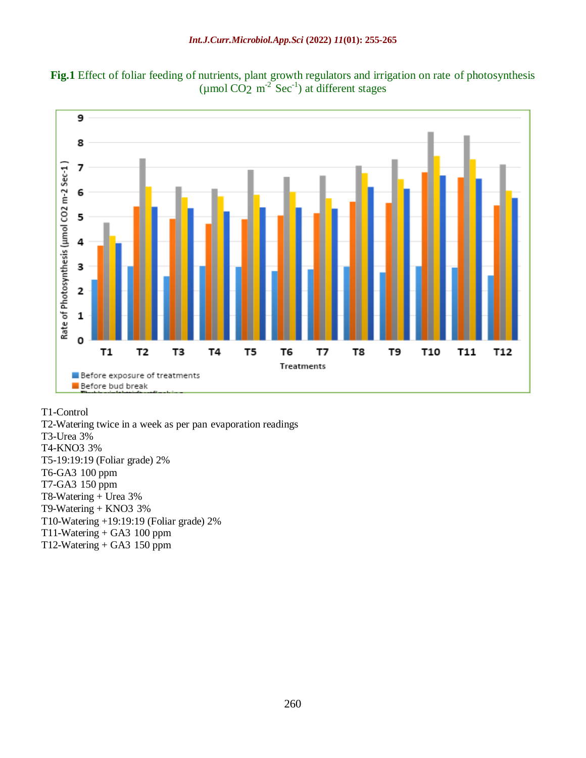



T1-Control

T2-Watering twice in a week as per pan evaporation readings T3-Urea 3% T4-KNO3 3% T5-19:19:19 (Foliar grade) 2% T6-GA3 100 ppm T7-GA3 150 ppm T8-Watering + Urea 3% T9-Watering + KNO3 3% T10-Watering +19:19:19 (Foliar grade) 2% T11-Watering  $+$  GA3 100 ppm T12-Watering  $+$  GA3 150 ppm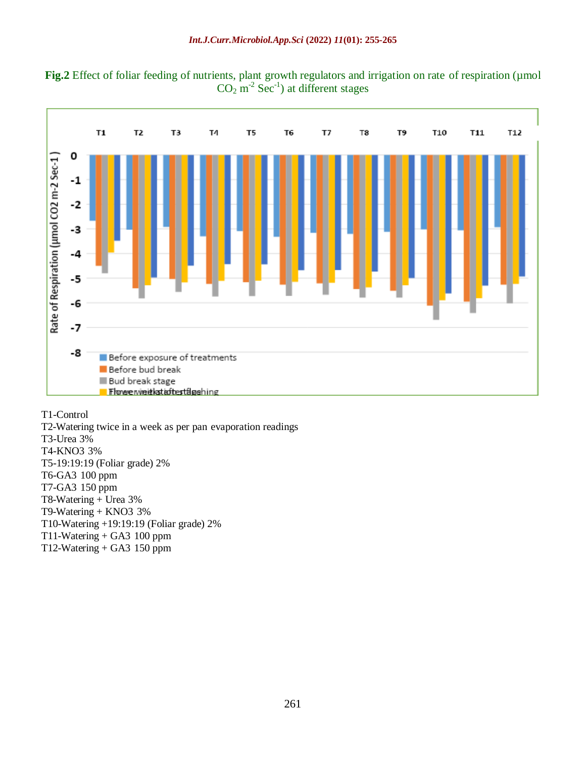



#### T1-Control

T2-Watering twice in a week as per pan evaporation readings T3-Urea 3% T4-KNO3 3% T5-19:19:19 (Foliar grade) 2% T6-GA3 100 ppm T7-GA3 150 ppm T8-Watering + Urea 3% T9-Watering + KNO3 3% T10-Watering +19:19:19 (Foliar grade) 2% T11-Watering + GA3 100 ppm T12-Watering  $+$  GA3 150 ppm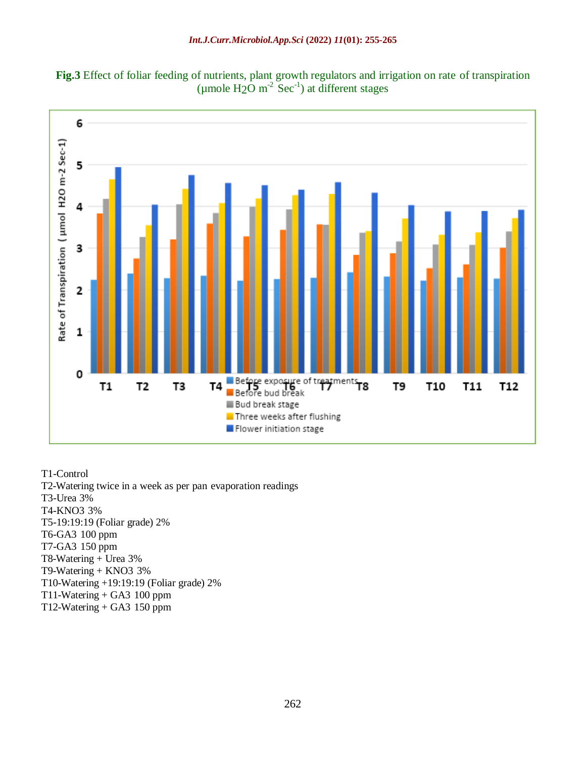



T1-Control T2-Watering twice in a week as per pan evaporation readings T3-Urea 3% T4-KNO3 3% T5-19:19:19 (Foliar grade) 2% T6-GA3 100 ppm T7-GA3 150 ppm T8-Watering + Urea 3% T9-Watering + KNO3 3% T10-Watering +19:19:19 (Foliar grade) 2% T11-Watering  $+$  GA3 100 ppm T12-Watering  $+$  GA3 150 ppm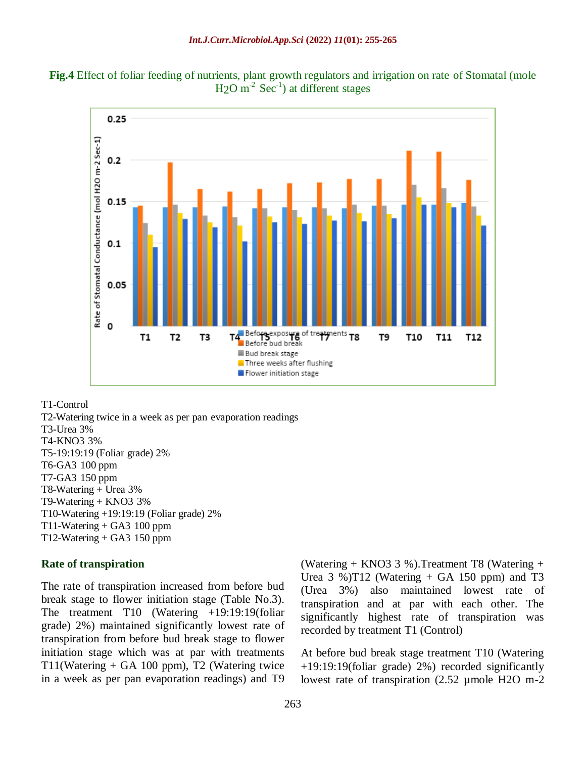



T1-Control

T2-Watering twice in a week as per pan evaporation readings T3-Urea 3% T4-KNO3 3% T5-19:19:19 (Foliar grade) 2% T6-GA3 100 ppm T7-GA3 150 ppm T8-Watering + Urea 3% T9-Watering + KNO3 3% T10-Watering +19:19:19 (Foliar grade) 2% T11-Watering + GA3 100 ppm  $T12-Watering + GA3 150 ppm$ 

#### **Rate of transpiration**

The rate of transpiration increased from before bud break stage to flower initiation stage (Table No.3). The treatment T10 (Watering +19:19:19(foliar grade) 2%) maintained significantly lowest rate of transpiration from before bud break stage to flower initiation stage which was at par with treatments T11(Watering + GA 100 ppm), T2 (Watering twice in a week as per pan evaporation readings) and T9

(Watering + KNO3 3 %).Treatment T8 (Watering + Urea 3 %)T12 (Watering  $+$  GA 150 ppm) and T3 (Urea 3%) also maintained lowest rate of transpiration and at par with each other. The significantly highest rate of transpiration was recorded by treatment T1 (Control)

At before bud break stage treatment T10 (Watering +19:19:19(foliar grade) 2%) recorded significantly lowest rate of transpiration (2.52 µmole H2O m-2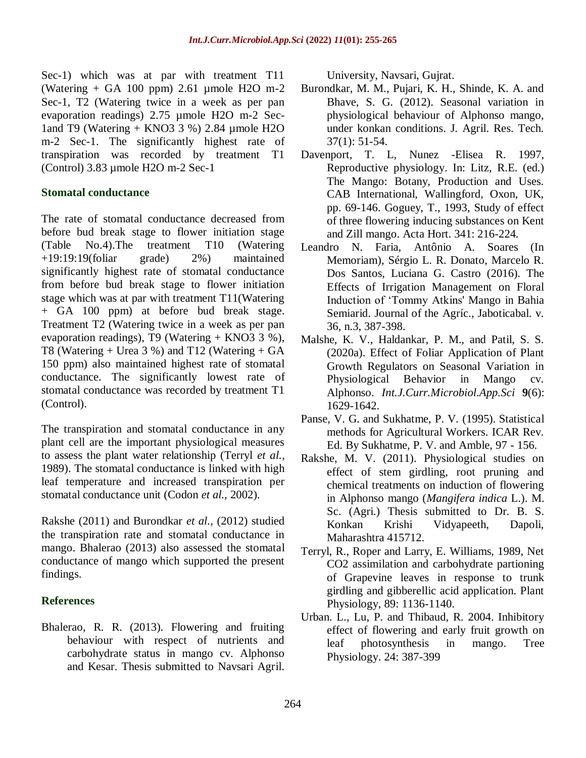Sec-1) which was at par with treatment T11 (Watering  $+$  GA 100 ppm) 2.61 µmole H2O m-2 Sec-1, T2 (Watering twice in a week as per pan evaporation readings) 2.75 µmole H2O m-2 Sec-1and T9 (Watering + KNO3 3 %) 2.84 µmole H2O m-2 Sec-1. The significantly highest rate of transpiration was recorded by treatment T1 (Control) 3.83 µmole H2O m-2 Sec-1

#### **Stomatal conductance**

The rate of stomatal conductance decreased from before bud break stage to flower initiation stage (Table No.4).The treatment T10 (Watering +19:19:19(foliar grade) 2%) maintained significantly highest rate of stomatal conductance from before bud break stage to flower initiation stage which was at par with treatment T11(Watering + GA 100 ppm) at before bud break stage. Treatment T2 (Watering twice in a week as per pan evaporation readings), T9 (Watering  $+$  KNO3 3 %), T8 (Watering  $+$  Urea 3 %) and T12 (Watering  $+$  GA 150 ppm) also maintained highest rate of stomatal conductance. The significantly lowest rate of stomatal conductance was recorded by treatment T1 (Control).

The transpiration and stomatal conductance in any plant cell are the important physiological measures to assess the plant water relationship (Terryl *et al.,* 1989). The stomatal conductance is linked with high leaf temperature and increased transpiration per stomatal conductance unit (Codon *et al.,* 2002).

Rakshe (2011) and Burondkar *et al.,* (2012) studied the transpiration rate and stomatal conductance in mango. Bhalerao (2013) also assessed the stomatal conductance of mango which supported the present findings.

#### **References**

Bhalerao, R. R. (2013). Flowering and fruiting behaviour with respect of nutrients and carbohydrate status in mango cv. Alphonso and Kesar. Thesis submitted to Navsari Agril.

University, Navsari, Gujrat.

- Burondkar, M. M., Pujari, K. H., Shinde, K. A. and Bhave, S. G. (2012). Seasonal variation in physiological behaviour of Alphonso mango, under konkan conditions. J. Agril. Res. Tech. 37(1): 51-54.
- Davenport, T. L, Nunez -Elisea R. 1997, Reproductive physiology. In: Litz, R.E. (ed.) The Mango: Botany, Production and Uses. CAB International, Wallingford, Oxon, UK, pp. 69-146. Goguey, T., 1993, Study of effect of three flowering inducing substances on Kent and Zill mango. Acta Hort. 341: 216-224.
- Leandro N. Faria, Antônio A. Soares (In Memoriam), Sérgio L. R. Donato, Marcelo R. Dos Santos, Luciana G. Castro (2016). The Effects of Irrigation Management on Floral Induction of 'Tommy Atkins' Mango in Bahia Semiarid. Journal of the Agríc., Jaboticabal. v. 36, n.3, 387-398.
- Malshe, K. V., Haldankar, P. M., and Patil, S. S. (2020a). Effect of Foliar Application of Plant Growth Regulators on Seasonal Variation in Physiological Behavior in Mango cv. Alphonso. *Int.J.Curr.Microbiol.App.Sci* **9**(6): 1629-1642.
- Panse, V. G. and Sukhatme, P. V. (1995). Statistical methods for Agricultural Workers. ICAR Rev. Ed. By Sukhatme, P. V. and Amble, 97 - 156.
- Rakshe, M. V. (2011). Physiological studies on effect of stem girdling, root pruning and chemical treatments on induction of flowering in Alphonso mango (*Mangifera indica* L.). M. Sc. (Agri.) Thesis submitted to Dr. B. S. Konkan Krishi Vidyapeeth, Dapoli, Maharashtra 415712.
- Terryl, R., Roper and Larry, E. Williams, 1989, Net CO2 assimilation and carbohydrate partioning of Grapevine leaves in response to trunk girdling and gibberellic acid application. Plant Physiology, 89: 1136-1140.
- Urban. L., Lu, P. and Thibaud, R. 2004. Inhibitory effect of flowering and early fruit growth on leaf photosynthesis in mango. Tree Physiology. 24: 387-399